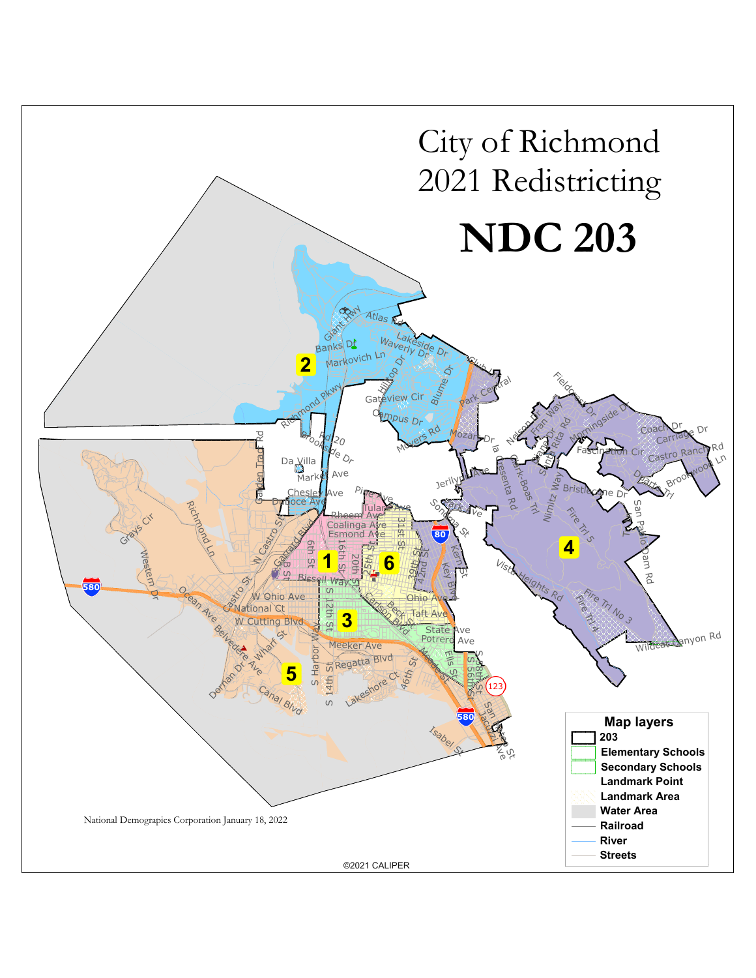